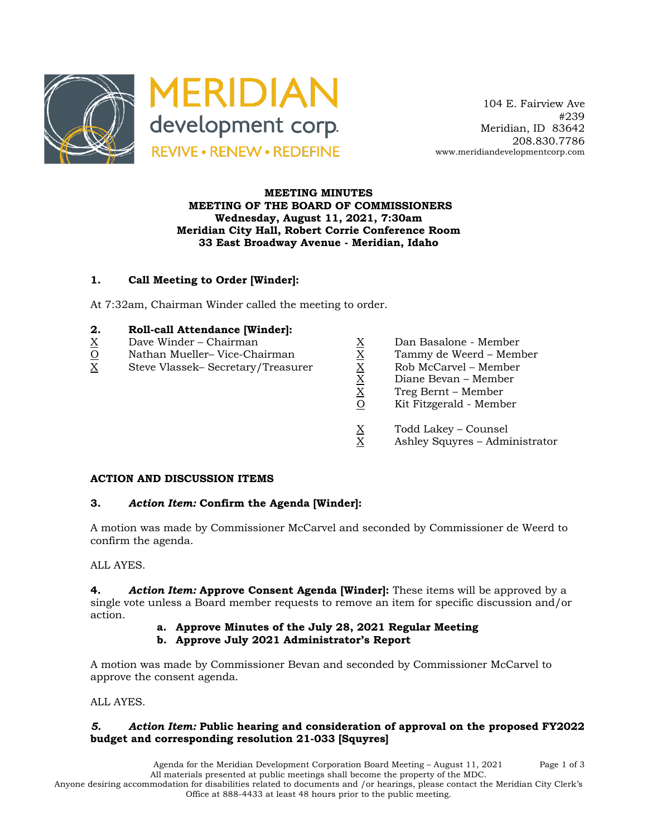

 104 E. Fairview Ave #239 Meridian, ID 83642 208.830.7786 www.meridiandevelopmentcorp.com

## **MEETING MINUTES MEETING OF THE BOARD OF COMMISSIONERS Wednesday, August 11, 2021, 7:30am Meridian City Hall, Robert Corrie Conference Room 33 East Broadway Avenue - Meridian, Idaho**

# **1. Call Meeting to Order [Winder]:**

At 7:32am, Chairman Winder called the meeting to order.

## **2. Roll-call Attendance [Winder]:**

- 
- O Nathan Mueller– Vice-Chairman X Tammy de Weerd Member
- $\begin{array}{llllll} \underline{X} &\text{Dave Winder} \text{Chairman} &\underline{X} &\text{Dan Basalone Member} \\ \hline \underline{X} &\text{Steve Vlassek- Secretary/Treasure} &\underline{X} &\text{Rob McCarvel Member} \\ \hline \underline{X} &\text{Die Wederd} &\underline{X} &\text{Rob McCarvel Member} \\ \hline \underline{X} &\text{Diane Bevan Member} \\ \hline \underline{X} &\text{Diane Bevan Member} \\ \hline \underline{X} &\text{Diane Bevan Member} \\ \hline \underline{X} &\text{Diane Bevan Member} \\ \end{array}$ X Steve Vlassek– Secretary/Treasurer X Rob McCarvel – Member
	-
	-
	-
	- Diane Bevan Member
	- X Treg Bernt Member
	- Kit Fitzgerald Member
	- $X$  Todd Lakey Counsel<br>X Ashley Squyres Admi
	- Ashley Squyres Administrator

#### **ACTION AND DISCUSSION ITEMS**

#### **3.** *Action Item:* **Confirm the Agenda [Winder]:**

A motion was made by Commissioner McCarvel and seconded by Commissioner de Weerd to confirm the agenda.

# ALL AYES.

**4.** *Action Item:* **Approve Consent Agenda [Winder]:** These items will be approved by a single vote unless a Board member requests to remove an item for specific discussion and/or action.

- **a. Approve Minutes of the July 28, 2021 Regular Meeting**
- **b. Approve July 2021 Administrator's Report**

A motion was made by Commissioner Bevan and seconded by Commissioner McCarvel to approve the consent agenda.

ALL AYES.

# *5. Action Item:* **Public hearing and consideration of approval on the proposed FY2022 budget and corresponding resolution 21-033 [Squyres]**

Agenda for the Meridian Development Corporation Board Meeting – August 11, 2021 Page 1 of 3 All materials presented at public meetings shall become the property of the MDC. Anyone desiring accommodation for disabilities related to documents and /or hearings, please contact the Meridian City Clerk's Office at 888-4433 at least 48 hours prior to the public meeting.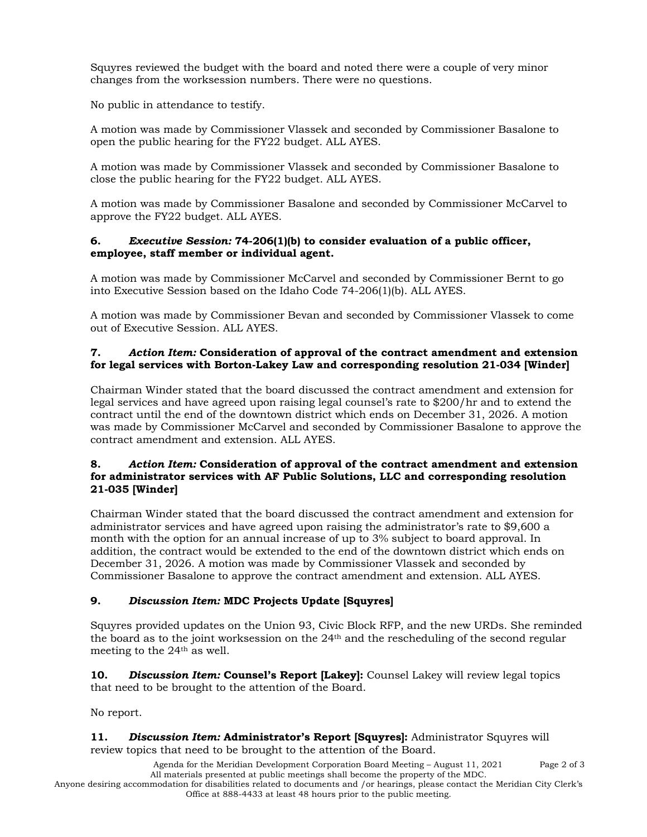Squyres reviewed the budget with the board and noted there were a couple of very minor changes from the worksession numbers. There were no questions.

No public in attendance to testify.

A motion was made by Commissioner Vlassek and seconded by Commissioner Basalone to open the public hearing for the FY22 budget. ALL AYES.

A motion was made by Commissioner Vlassek and seconded by Commissioner Basalone to close the public hearing for the FY22 budget. ALL AYES.

A motion was made by Commissioner Basalone and seconded by Commissioner McCarvel to approve the FY22 budget. ALL AYES.

#### **6.** *Executive Session:* **74-206(1)(b) to consider evaluation of a public officer, employee, staff member or individual agent.**

A motion was made by Commissioner McCarvel and seconded by Commissioner Bernt to go into Executive Session based on the Idaho Code 74-206(1)(b). ALL AYES.

A motion was made by Commissioner Bevan and seconded by Commissioner Vlassek to come out of Executive Session. ALL AYES.

## **7.** *Action Item:* **Consideration of approval of the contract amendment and extension for legal services with Borton-Lakey Law and corresponding resolution 21-034 [Winder]**

Chairman Winder stated that the board discussed the contract amendment and extension for legal services and have agreed upon raising legal counsel's rate to \$200/hr and to extend the contract until the end of the downtown district which ends on December 31, 2026. A motion was made by Commissioner McCarvel and seconded by Commissioner Basalone to approve the contract amendment and extension. ALL AYES.

#### **8.** *Action Item:* **Consideration of approval of the contract amendment and extension for administrator services with AF Public Solutions, LLC and corresponding resolution 21-035 [Winder]**

Chairman Winder stated that the board discussed the contract amendment and extension for administrator services and have agreed upon raising the administrator's rate to \$9,600 a month with the option for an annual increase of up to 3% subject to board approval. In addition, the contract would be extended to the end of the downtown district which ends on December 31, 2026. A motion was made by Commissioner Vlassek and seconded by Commissioner Basalone to approve the contract amendment and extension. ALL AYES.

# **9.** *Discussion Item:* **MDC Projects Update [Squyres]**

Squyres provided updates on the Union 93, Civic Block RFP, and the new URDs. She reminded the board as to the joint worksession on the 24th and the rescheduling of the second regular meeting to the 24th as well.

**10.** *Discussion Item:* **Counsel's Report [Lakey]:** Counsel Lakey will review legal topics that need to be brought to the attention of the Board.

No report.

**11.** *Discussion Item:* **Administrator's Report [Squyres]:** Administrator Squyres will review topics that need to be brought to the attention of the Board.

> Agenda for the Meridian Development Corporation Board Meeting – August 11, 2021 Page 2 of 3 All materials presented at public meetings shall become the property of the MDC.

Anyone desiring accommodation for disabilities related to documents and /or hearings, please contact the Meridian City Clerk's Office at 888-4433 at least 48 hours prior to the public meeting.